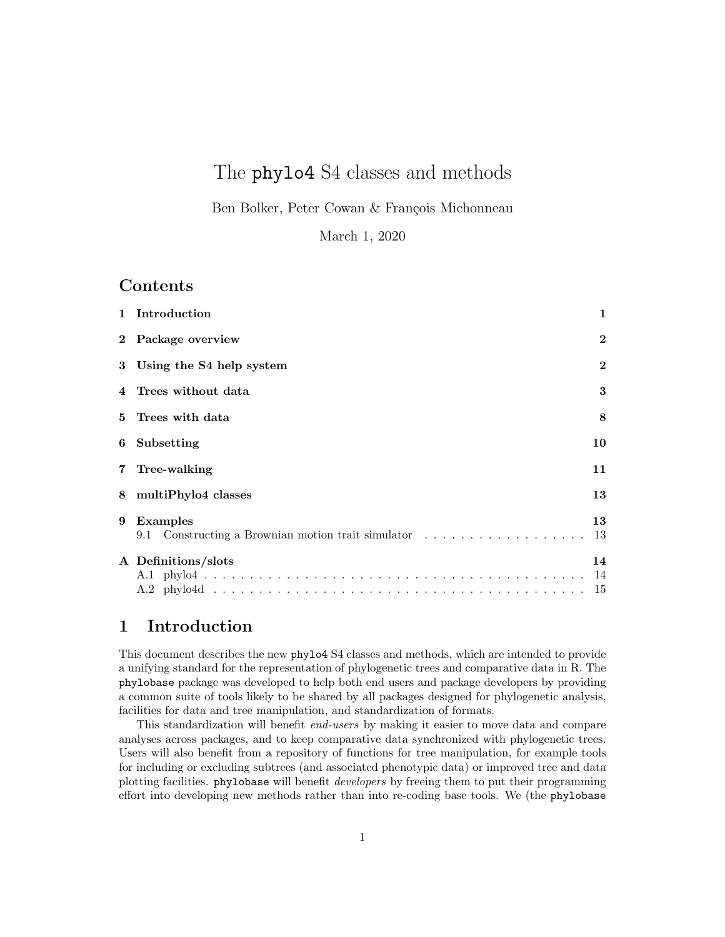# The phylo4 S4 classes and methods

Ben Bolker, Peter Cowan & François Michonneau

March 1, 2020

### **Contents**

|   | 1 Introduction                                                   | 1            |  |  |  |  |  |  |  |  |  |
|---|------------------------------------------------------------------|--------------|--|--|--|--|--|--|--|--|--|
|   | 2 Package overview                                               | $\bf{2}$     |  |  |  |  |  |  |  |  |  |
|   | 3 Using the S4 help system                                       | $\mathbf{2}$ |  |  |  |  |  |  |  |  |  |
|   | 4 Trees without data                                             | 3            |  |  |  |  |  |  |  |  |  |
|   | 5 Trees with data                                                | 8            |  |  |  |  |  |  |  |  |  |
| 6 | Subsetting                                                       | 10           |  |  |  |  |  |  |  |  |  |
|   | 7 Tree-walking                                                   | 11           |  |  |  |  |  |  |  |  |  |
|   | 8 multiPhylo4 classes                                            |              |  |  |  |  |  |  |  |  |  |
|   | 9 Examples<br>9.1 Constructing a Brownian motion trait simulator | 13<br>13     |  |  |  |  |  |  |  |  |  |
|   | A Definitions/slots                                              | 14<br>- 14   |  |  |  |  |  |  |  |  |  |

# 1 Introduction

This document describes the new phylo4 S4 classes and methods, which are intended to provide a unifying standard for the representation of phylogenetic trees and comparative data in R. The phylobase package was developed to help both end users and package developers by providing a common suite of tools likely to be shared by all packages designed for phylogenetic analysis, facilities for data and tree manipulation, and standardization of formats.

This standardization will benefit end-users by making it easier to move data and compare analyses across packages, and to keep comparative data synchronized with phylogenetic trees. Users will also benefit from a repository of functions for tree manipulation, for example tools for including or excluding subtrees (and associated phenotypic data) or improved tree and data plotting facilities. phylobase will benefit developers by freeing them to put their programming effort into developing new methods rather than into re-coding base tools. We (the phylobase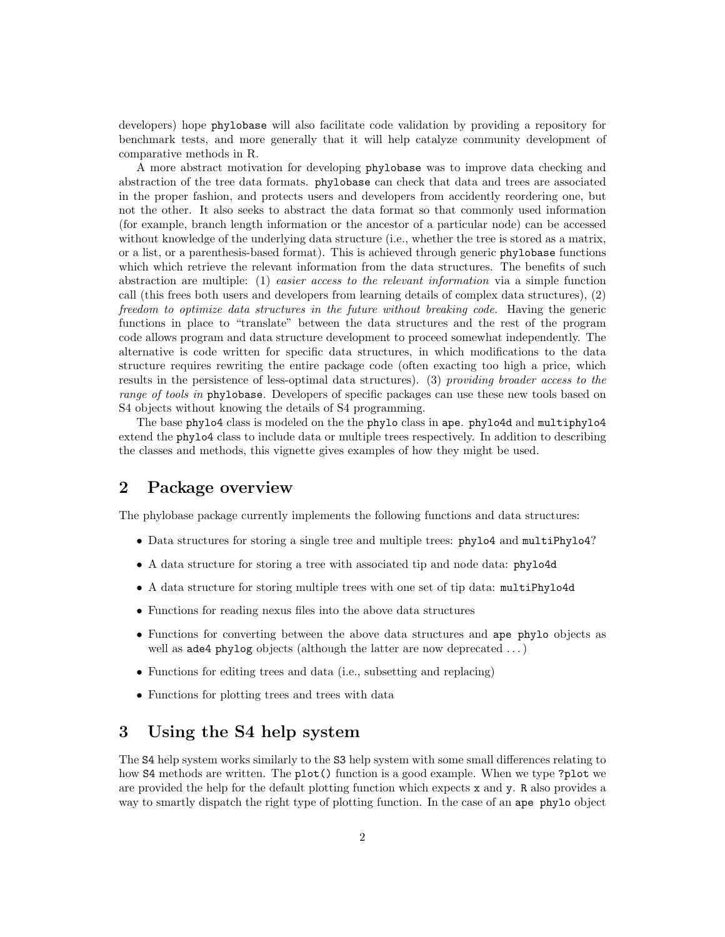developers) hope phylobase will also facilitate code validation by providing a repository for benchmark tests, and more generally that it will help catalyze community development of comparative methods in R.

A more abstract motivation for developing phylobase was to improve data checking and abstraction of the tree data formats. phylobase can check that data and trees are associated in the proper fashion, and protects users and developers from accidently reordering one, but not the other. It also seeks to abstract the data format so that commonly used information (for example, branch length information or the ancestor of a particular node) can be accessed without knowledge of the underlying data structure (i.e., whether the tree is stored as a matrix, or a list, or a parenthesis-based format). This is achieved through generic phylobase functions which which retrieve the relevant information from the data structures. The benefits of such abstraction are multiple: (1) easier access to the relevant information via a simple function call (this frees both users and developers from learning details of complex data structures), (2) freedom to optimize data structures in the future without breaking code. Having the generic functions in place to "translate" between the data structures and the rest of the program code allows program and data structure development to proceed somewhat independently. The alternative is code written for specific data structures, in which modifications to the data structure requires rewriting the entire package code (often exacting too high a price, which results in the persistence of less-optimal data structures). (3) providing broader access to the range of tools in phylobase. Developers of specific packages can use these new tools based on S4 objects without knowing the details of S4 programming.

The base phylo4 class is modeled on the the phylo class in ape. phylo4d and multiphylo4 extend the phylo4 class to include data or multiple trees respectively. In addition to describing the classes and methods, this vignette gives examples of how they might be used.

# 2 Package overview

The phylobase package currently implements the following functions and data structures:

- Data structures for storing a single tree and multiple trees: phylo4 and multiPhylo4?
- A data structure for storing a tree with associated tip and node data: phylo4d
- A data structure for storing multiple trees with one set of tip data: multiPhylo4d
- Functions for reading nexus files into the above data structures
- Functions for converting between the above data structures and ape phylo objects as well as ade4 phylog objects (although the latter are now deprecated ...)
- Functions for editing trees and data (i.e., subsetting and replacing)
- Functions for plotting trees and trees with data

### 3 Using the S4 help system

The S4 help system works similarly to the S3 help system with some small differences relating to how S4 methods are written. The plot() function is a good example. When we type ?plot we are provided the help for the default plotting function which expects x and y. R also provides a way to smartly dispatch the right type of plotting function. In the case of an ape phylo object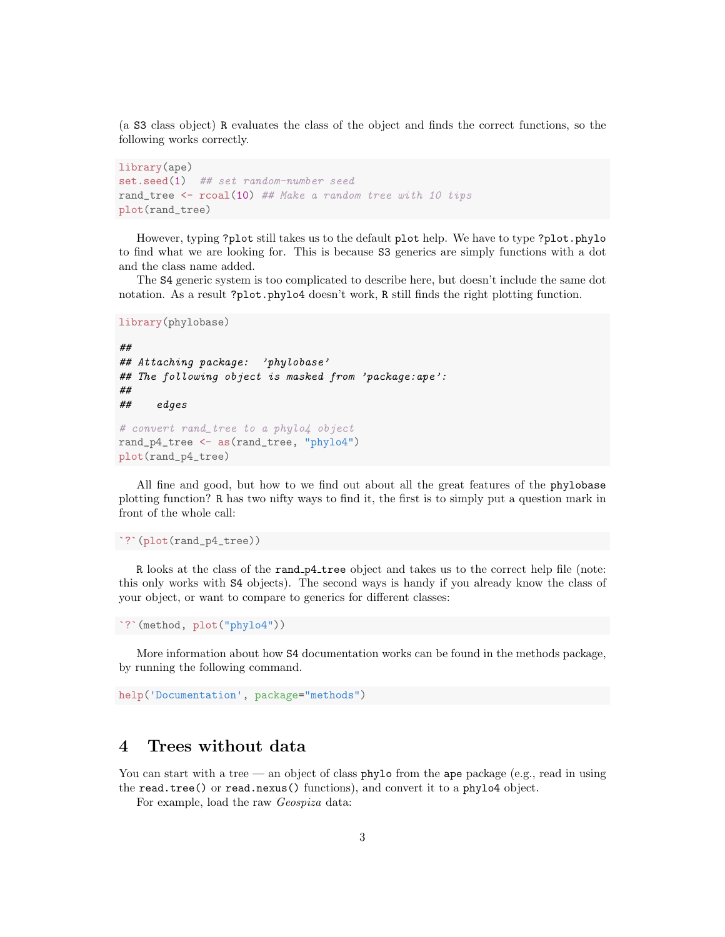(a S3 class object) R evaluates the class of the object and finds the correct functions, so the following works correctly.

```
library(ape)
set.seed(1) ## set random-number seed
rand_tree <- rcoal(10) ## Make a random tree with 10 tips
plot(rand_tree)
```
However, typing ?plot still takes us to the default plot help. We have to type ?plot.phylo to find what we are looking for. This is because S3 generics are simply functions with a dot and the class name added.

The S4 generic system is too complicated to describe here, but doesn't include the same dot notation. As a result ?plot.phylo4 doesn't work, R still finds the right plotting function.

```
library(phylobase)
```

```
##
## Attaching package: 'phylobase'
## The following object is masked from 'package:ape':
##
## edges
# convert rand_tree to a phylo4 object
rand_p4_tree <- as(rand_tree, "phylo4")
plot(rand_p4_tree)
```
All fine and good, but how to we find out about all the great features of the phylobase plotting function? R has two nifty ways to find it, the first is to simply put a question mark in front of the whole call:

`?`(plot(rand\_p4\_tree))

R looks at the class of the rand p4 tree object and takes us to the correct help file (note: this only works with S4 objects). The second ways is handy if you already know the class of your object, or want to compare to generics for different classes:

`?`(method, plot("phylo4"))

More information about how S4 documentation works can be found in the methods package, by running the following command.

help('Documentation', package="methods")

# 4 Trees without data

You can start with a tree — an object of class phylo from the ape package (e.g., read in using the read.tree() or read.nexus() functions), and convert it to a phylo4 object.

For example, load the raw Geospiza data: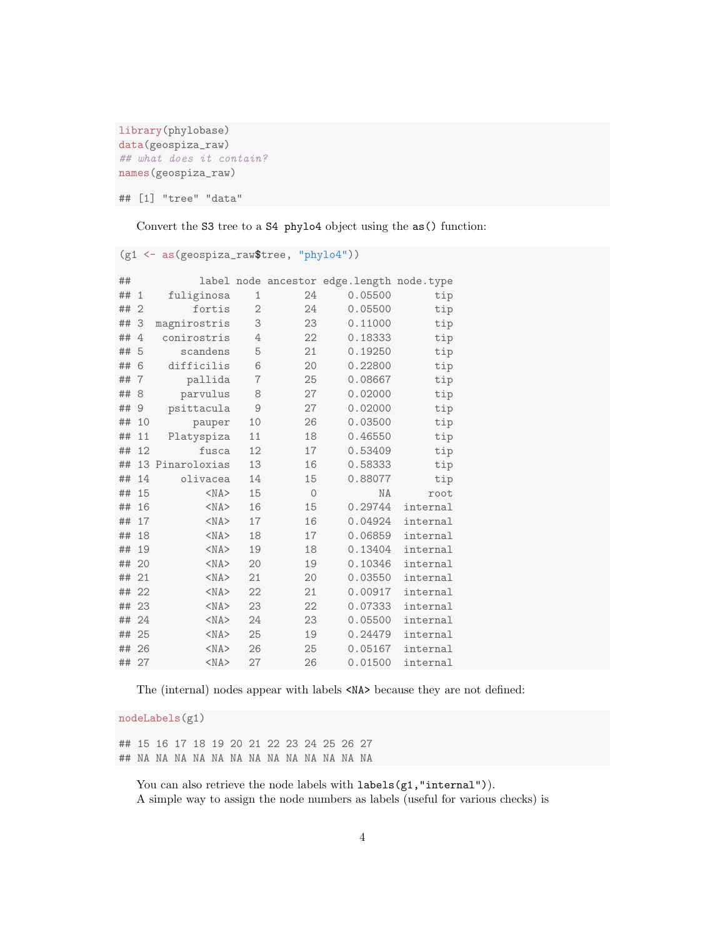```
library(phylobase)
data(geospiza_raw)
## what does it contain?
names(geospiza_raw)
```
## [1] "tree" "data"

Convert the S3 tree to a S4 phylo4 object using the as() function:

(g1 <- as(geospiza\_raw\$tree, "phylo4"))

| ## |                |                 |                |               | label node ancestor edge.length node.type |          |
|----|----------------|-----------------|----------------|---------------|-------------------------------------------|----------|
| ## | $\mathbf{1}$   | fuliginosa      | 1              | 24            | 0.05500                                   | tip      |
| ## | $\overline{2}$ | fortis          | $\mathbf{2}$   | 24            | 0.05500                                   | tip      |
| ## | 3              | magnirostris    | 3              | 23            | 0.11000                                   | tip      |
| ## | 4              | conirostris     | 4              | 22            | 0.18333                                   | tip      |
| ## | 5              | scandens        | 5              | 21            | 0.19250                                   | tip      |
| ## | 6              | difficilis      | 6              | 20            | 0.22800                                   | tip      |
| ## | $\overline{7}$ | pallida         | $\overline{7}$ | 25            | 0.08667                                   | tip      |
| ## | 8              | parvulus        | 8              | 27            | 0.02000                                   | tip      |
| ## | 9              | psittacula      | 9              | 27            | 0.02000                                   | tip      |
| ## | 10             | pauper          | 10             | 26            | 0.03500                                   | tip      |
| ## | 11             | Platyspiza      | 11             | 18            | 0.46550                                   | tip      |
| ## | 12             | fusca           | 12             | 17            | 0.53409                                   | tip      |
| ## |                | 13 Pinaroloxias | 13             | 16            | 0.58333                                   | tip      |
| ## | 14             | olivacea        | 14             | 15            | 0.88077                                   | tip      |
| ## | 15             | $<$ NA $>$      | 15             | $\mathcal{O}$ | NA                                        | root     |
| ## | 16             | $<$ NA $>$      | 16             | 15            | 0.29744                                   | internal |
| ## | 17             | $<$ NA $>$      | 17             | 16            | 0.04924                                   | internal |
| ## | 18             | $<$ NA $>$      | 18             | 17            | 0.06859                                   | internal |
| ## | 19             | $<$ NA $>$      | 19             | 18            | 0.13404                                   | internal |
| ## | 20             | $<$ NA $>$      | 20             | 19            | 0.10346                                   | internal |
| ## | 21             | $<$ NA $>$      | 21             | 20            | 0.03550                                   | internal |
| ## | 22             | $<$ NA $>$      | 22             | 21            | 0.00917                                   | internal |
| ## | 23             | $<$ NA $>$      | 23             | 22            | 0.07333                                   | internal |
| ## | 24             | $<$ NA $>$      | 24             | 23            | 0.05500                                   | internal |
| ## | 25             | $<$ NA $>$      | 25             | 19            | 0.24479                                   | internal |
| ## | 26             | $<$ NA $>$      | 26             | 25            | 0.05167                                   | internal |
| ## | 27             | $<$ NA $>$      | 27             | 26            | 0.01500                                   | internal |

The (internal) nodes appear with labels  $<\!\!\mathsf{NA}\!\!>$  because they are not defined:

nodeLabels(g1)

## 15 16 17 18 19 20 21 22 23 24 25 26 27 ## NA NA NA NA NA NA NA NA NA NA NA NA NA

You can also retrieve the node labels with  $labels(g1,"internal")$ . A simple way to assign the node numbers as labels (useful for various checks) is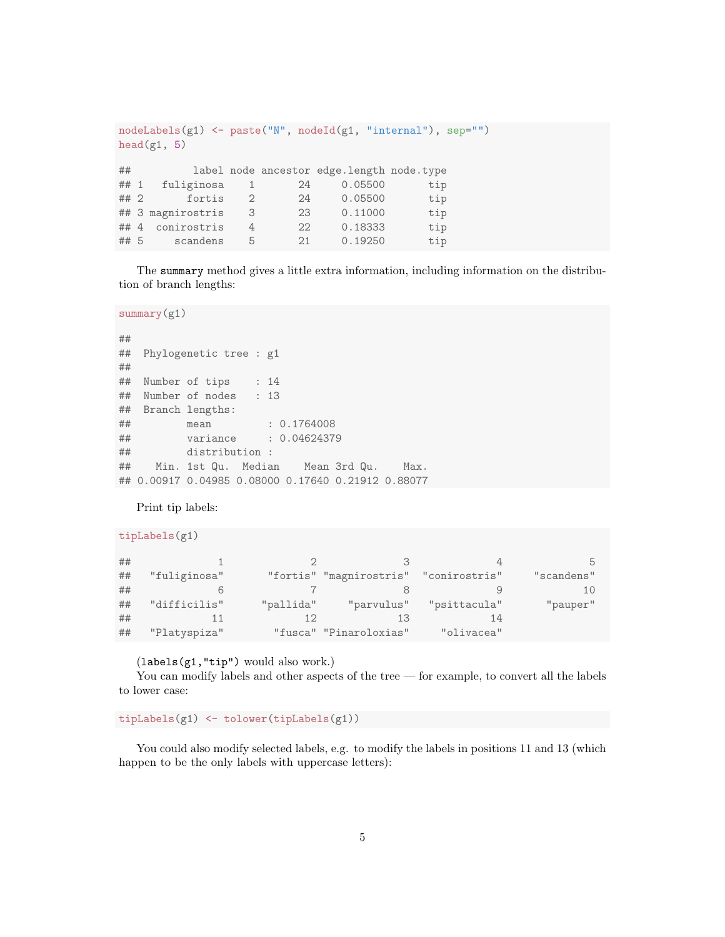```
nodeLabels(g1) <- paste("N", nodeId(g1, "internal"), sep="")
head(g1, 5)## label node ancestor edge.length node.type
## 1 fuliginosa 1 24 0.05500 tip
## 2 fortis 2 24 0.05500 tip
## 3 magnirostris 3 23 0.11000 tip
## 4 conirostris 4 22 0.18333 tip
## 5 scandens 5 21 0.19250 tip
```
The summary method gives a little extra information, including information on the distribution of branch lengths:

summary(g1)

```
##
## Phylogenetic tree : g1
##
## Number of tips : 14
## Number of nodes : 13
## Branch lengths:
## mean : 0.1764008
## variance : 0.04624379
## distribution :
## Min. 1st Qu. Median Mean 3rd Qu. Max.
## 0.00917 0.04985 0.08000 0.17640 0.21912 0.88077
```
Print tip labels:

tipLabels(g1)

| ## |              |           |                                       |              |            |
|----|--------------|-----------|---------------------------------------|--------------|------------|
| ## | "fuliginosa" |           | "fortis" "magnirostris" "conirostris" |              | "scandens" |
| ## |              |           |                                       |              |            |
| ## | "difficilis" | "pallida" | "parvulus"                            | "psittacula" | "pauper"   |
| ## |              |           | 13                                    |              |            |
| ## | "Platyspiza" |           | "fusca" "Pinaroloxias"                | "olivacea"   |            |

(labels(g1,"tip") would also work.)

You can modify labels and other aspects of the tree — for example, to convert all the labels to lower case:

tipLabels(g1) <- tolower(tipLabels(g1))

You could also modify selected labels, e.g. to modify the labels in positions 11 and 13 (which happen to be the only labels with uppercase letters):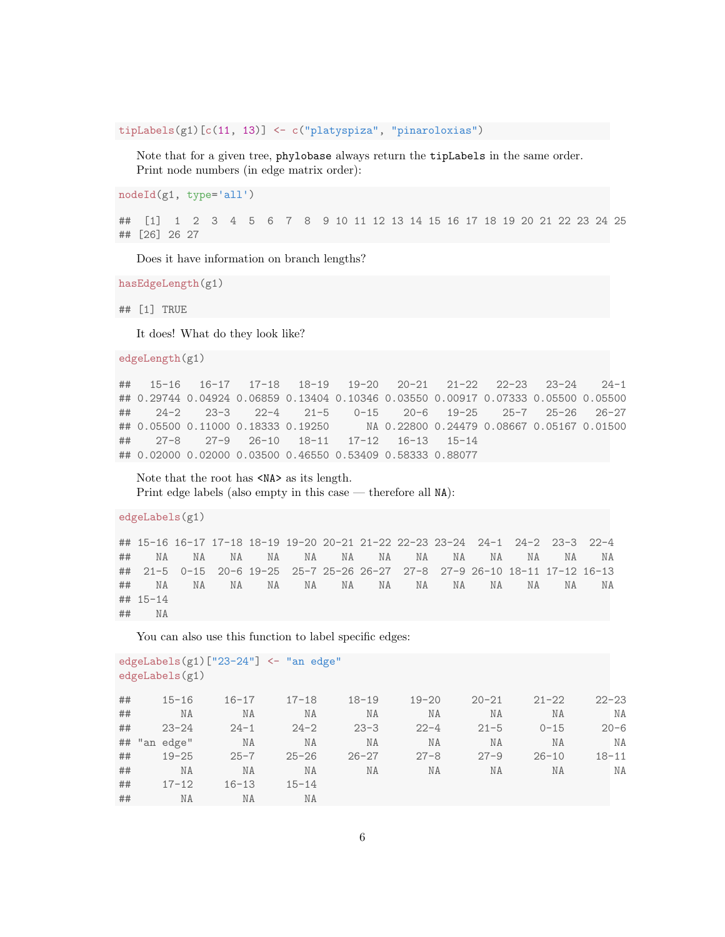tipLabels(g1)[c(11, 13)] <- c("platyspiza", "pinaroloxias")

Note that for a given tree, phylobase always return the tipLabels in the same order. Print node numbers (in edge matrix order):

```
nodeId(g1, type='all')
```
## [1] 1 2 3 4 5 6 7 8 9 10 11 12 13 14 15 16 17 18 19 20 21 22 23 24 25 ## [26] 26 27

Does it have information on branch lengths?

hasEdgeLength(g1)

## [1] TRUE

It does! What do they look like?

edgeLength(g1)

## 15-16 16-17 17-18 18-19 19-20 20-21 21-22 22-23 23-24 24-1 ## 0.29744 0.04924 0.06859 0.13404 0.10346 0.03550 0.00917 0.07333 0.05500 0.05500 ## 24-2 23-3 22-4 21-5 0-15 20-6 19-25 25-7 25-26 26-27 ## 0.05500 0.11000 0.18333 0.19250 NA 0.22800 0.24479 0.08667 0.05167 0.01500 ## 27-8 27-9 26-10 18-11 17-12 16-13 15-14 ## 0.02000 0.02000 0.03500 0.46550 0.53409 0.58333 0.88077

Note that the root has  $\langle N_A \rangle$  as its length. Print edge labels (also empty in this case — therefore all NA):

edgeLabels(g1)

## 15-16 16-17 17-18 18-19 19-20 20-21 21-22 22-23 23-24 24-1 24-2 23-3 22-4 ## NA NA NA NA NA NA NA NA NA NA NA NA NA ## 21-5 0-15 20-6 19-25 25-7 25-26 26-27 27-8 27-9 26-10 18-11 17-12 16-13 ## NA NA NA NA NA NA NA NA NA NA NA NA NA ## 15-14 ## NA

You can also use this function to label specific edges:

```
edgeLabels(g1)["23-24"] <- "an edge"
edgeLabels(g1)
## 15-16 16-17 17-18 18-19 19-20 20-21 21-22 22-23
## NA NA NA NA NA NA NA NA
## 23-24 24-1 24-2 23-3 22-4 21-5 0-15 20-6
## "an edge" NA NA NA NA NA NA NA
## 19-25 25-7 25-26 26-27 27-8 27-9 26-10 18-11
## NA NA NA NA NA NA NA NA
## 17-12 16-13 15-14
## NA NA NA
```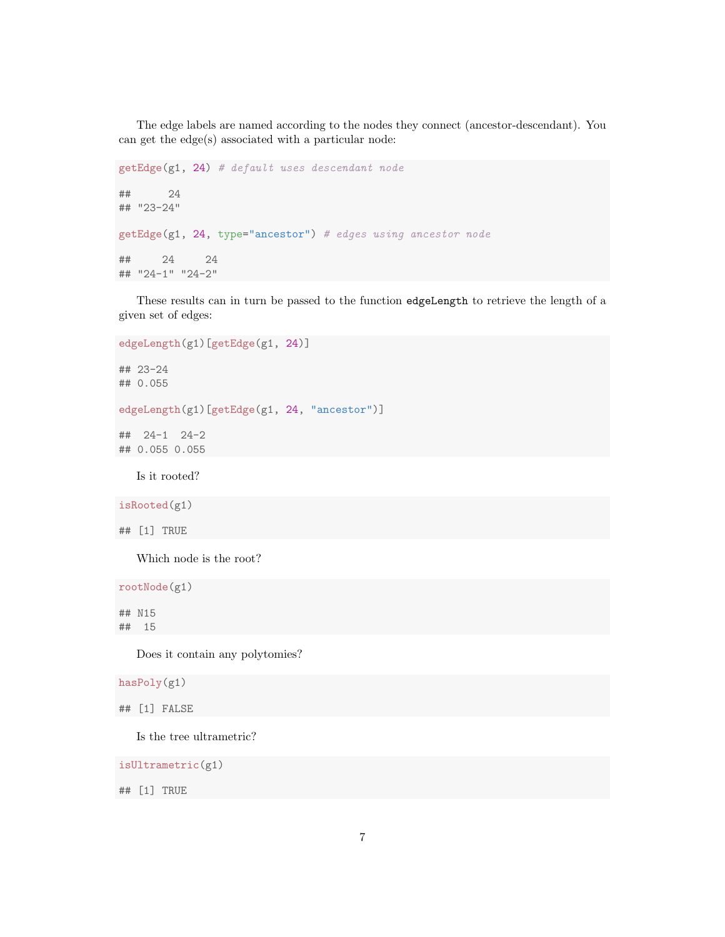The edge labels are named according to the nodes they connect (ancestor-descendant). You can get the edge(s) associated with a particular node:

```
getEdge(g1, 24) # default uses descendant node
## 24
## "23-24"
getEdge(g1, 24, type="ancestor") # edges using ancestor node
## 24 24
## "24-1" "24-2"
```
These results can in turn be passed to the function edgeLength to retrieve the length of a given set of edges:

```
edgeLength(g1)[getEdge(g1, 24)]
```
## 23-24 ## 0.055

edgeLength(g1)[getEdge(g1, 24, "ancestor")]

## 24-1 24-2 ## 0.055 0.055

Is it rooted?

isRooted(g1)

```
## [1] TRUE
```
Which node is the root?

rootNode(g1)

## N15 ## 15

Does it contain any polytomies?

hasPoly(g1)

## [1] FALSE

Is the tree ultrametric?

isUltrametric(g1)

## [1] TRUE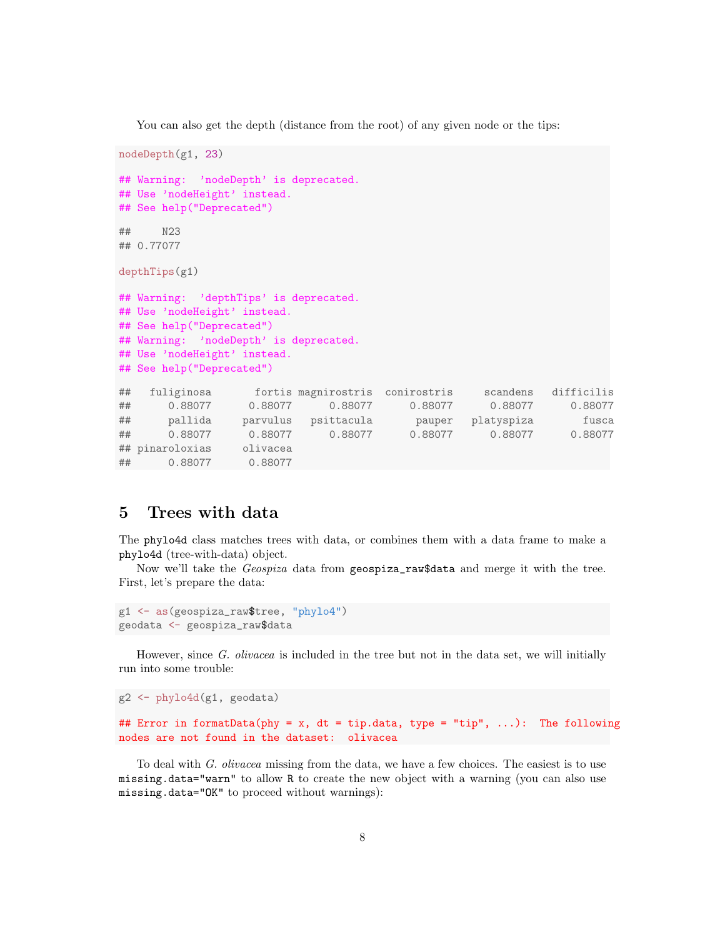You can also get the depth (distance from the root) of any given node or the tips:

```
nodeDepth(g1, 23)
## Warning: 'nodeDepth' is deprecated.
## Use 'nodeHeight' instead.
## See help("Deprecated")
## N23
## 0.77077
depthTips(g1)
## Warning: 'depthTips' is deprecated.
## Use 'nodeHeight' instead.
## See help("Deprecated")
## Warning: 'nodeDepth' is deprecated.
## Use 'nodeHeight' instead.
## See help("Deprecated")
## fuliginosa fortis magnirostris conirostris scandens difficilis
## 0.88077 0.88077 0.88077 0.88077 0.88077 0.88077
## pallida parvulus psittacula pauper platyspiza fusca
## 0.88077 0.88077 0.88077 0.88077 0.88077 0.88077
## pinaroloxias olivacea
## 0.88077 0.88077
```
# 5 Trees with data

The phylo4d class matches trees with data, or combines them with a data frame to make a phylo4d (tree-with-data) object.

Now we'll take the *Geospiza* data from geospiza\_raw\$data and merge it with the tree. First, let's prepare the data:

```
g1 <- as(geospiza_raw$tree, "phylo4")
geodata <- geospiza_raw$data
```
However, since G. olivacea is included in the tree but not in the data set, we will initially run into some trouble:

```
g2 <- phylo4d(g1, geodata)
## Error in formatData(phy = x, dt = tip.data, type = "tip", ...): The following
nodes are not found in the dataset: olivacea
```
To deal with G. olivacea missing from the data, we have a few choices. The easiest is to use missing.data="warn" to allow R to create the new object with a warning (you can also use missing.data="OK" to proceed without warnings):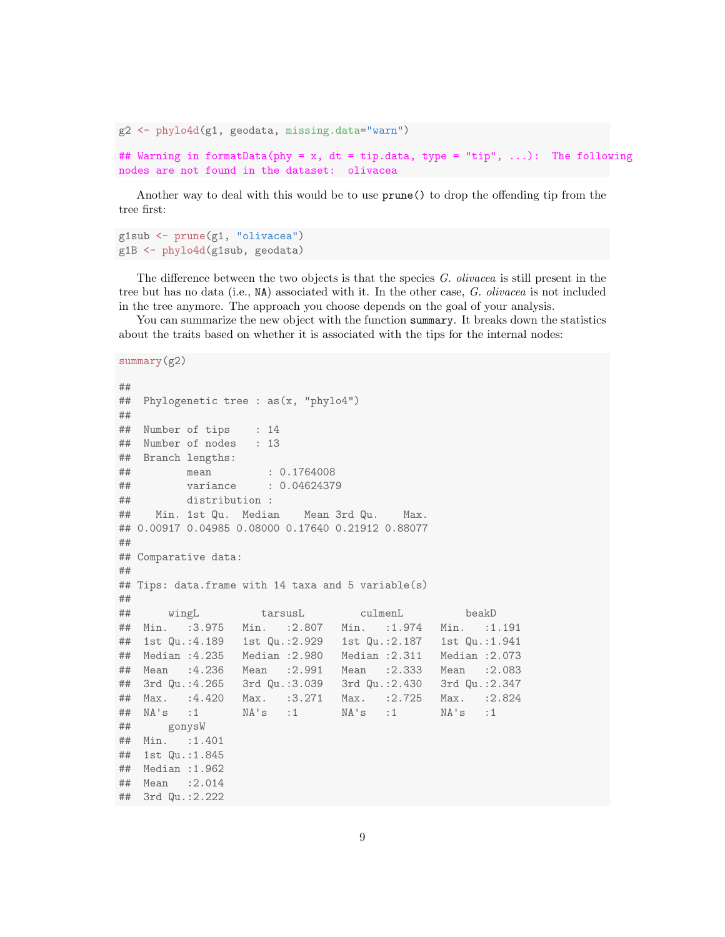```
g2 <- phylo4d(g1, geodata, missing.data="warn")
## Warning in formatData(phy = x, dt = tip.data, type = "tip", ...): The following
nodes are not found in the dataset: olivacea
```
Another way to deal with this would be to use prune() to drop the offending tip from the tree first:

g1sub <- prune(g1, "olivacea") g1B <- phylo4d(g1sub, geodata)

The difference between the two objects is that the species G. olivacea is still present in the tree but has no data (i.e., NA) associated with it. In the other case, G. olivacea is not included in the tree anymore. The approach you choose depends on the goal of your analysis.

You can summarize the new object with the function summary. It breaks down the statistics about the traits based on whether it is associated with the tips for the internal nodes:

```
summary(g2)
```

```
##
## Phylogenetic tree : as(x, "phylo4")
##
## Number of tips : 14
## Number of nodes : 13
## Branch lengths:
## mean : 0.1764008
## variance : 0.04624379
## distribution :
## Min. 1st Qu. Median Mean 3rd Qu. Max.
## 0.00917 0.04985 0.08000 0.17640 0.21912 0.88077
##
## Comparative data:
##
## Tips: data.frame with 14 taxa and 5 variable(s)
##
## wingL tarsusL culmenL beakD
## Min. :3.975 Min. :2.807 Min. :1.974 Min. :1.191
## 1st Qu.:4.189 1st Qu.:2.929 1st Qu.:2.187 1st Qu.:1.941
## Median :4.235 Median :2.980 Median :2.311 Median :2.073
## Mean :4.236 Mean :2.991 Mean :2.333 Mean :2.083
## 3rd Qu.:4.265 3rd Qu.:3.039 3rd Qu.:2.430 3rd Qu.:2.347
## Max. :4.420 Max. :3.271 Max. :2.725 Max. :2.824
## NA's :1 NA's :1 NA's :1 NA's :1
## gonysW
## Min. :1.401
## 1st Qu.:1.845
## Median :1.962
## Mean :2.014
## 3rd Qu.:2.222
```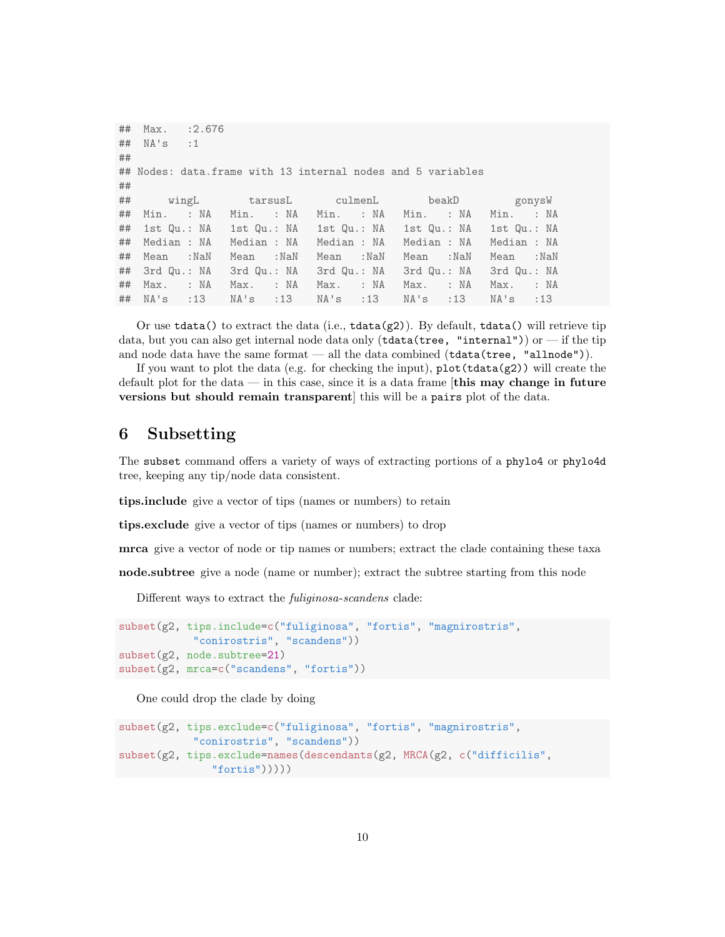|    | ## Max. : 2.676                                                    |           |           |           |           |        |
|----|--------------------------------------------------------------------|-----------|-----------|-----------|-----------|--------|
|    | $\#$ # NA's :1                                                     |           |           |           |           |        |
| ## |                                                                    |           |           |           |           |        |
|    | ## Nodes: data.frame with 13 internal nodes and 5 variables        |           |           |           |           |        |
| ## |                                                                    |           |           |           |           |        |
|    | ## wingL tarsusL culmenL beakD                                     |           |           |           |           | gonysW |
|    | ## Min. :NA Min. :NA Min. :NA Min. :NA Min. :NA                    |           |           |           |           |        |
|    | ## 1st Qu.: NA 1st Qu.: NA 1st Qu.: NA 1st Qu.: NA 1st Qu.: NA     |           |           |           |           |        |
|    | ## Median : NA  Median : NA  Median : NA  Median : NA  Median : NA |           |           |           |           |        |
|    | ## Mean :NaN                                                       | Mean :NaN | Mean :NaN | Mean :NaN | Mean :NaN |        |
|    | ## 3rd Qu.: NA 3rd Qu.: NA 3rd Qu.: NA 3rd Qu.: NA 3rd Qu.: NA     |           |           |           |           |        |
|    | ## Max. :NA Max. :NA Max. :NA Max. :NA Max. :NA                    |           |           |           |           |        |
|    | ## NA's :13 NA's :13 NA's :13 NA's :13 NA's :13                    |           |           |           |           |        |

Or use tdata() to extract the data (i.e.,  $tdata(g2)$ ). By default,  $tdata()$  will retrieve tip data, but you can also get internal node data only (tdata(tree, "internal")) or — if the tip and node data have the same format — all the data combined (tdata(tree, "allnode")).

If you want to plot the data (e.g. for checking the input),  $plot(tdata(g2))$  will create the default plot for the data — in this case, since it is a data frame  $[$ this may change in future versions but should remain transparent] this will be a pairs plot of the data.

# 6 Subsetting

The subset command offers a variety of ways of extracting portions of a phylo4 or phylo4d tree, keeping any tip/node data consistent.

tips.include give a vector of tips (names or numbers) to retain

tips.exclude give a vector of tips (names or numbers) to drop

mrca give a vector of node or tip names or numbers; extract the clade containing these taxa

node.subtree give a node (name or number); extract the subtree starting from this node

Different ways to extract the fuliginosa-scandens clade:

```
subset(g2, tips.include=c("fuliginosa", "fortis", "magnirostris",
            "conirostris", "scandens"))
subset(g2, node.subtree=21)
subset(g2, mrca=c("scandens", "fortis"))
```
One could drop the clade by doing

```
subset(g2, tips.exclude=c("fuliginosa", "fortis", "magnirostris",
           "conirostris", "scandens"))
subset(g2, tips.exclude=names(descendants(g2, MRCA(g2, c("difficilis",
               "fortis"))))
```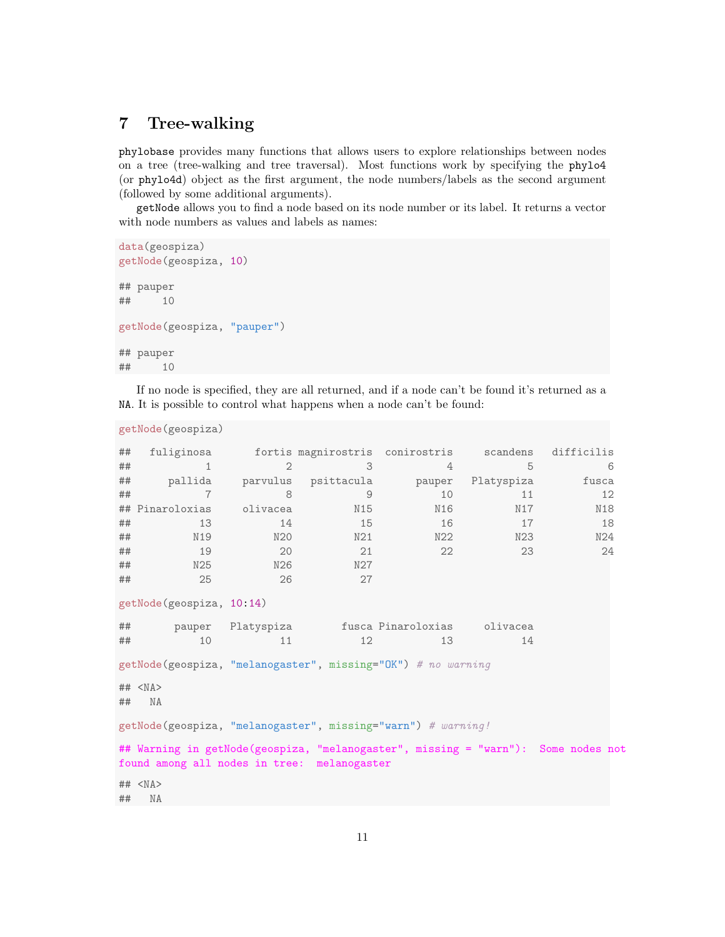# 7 Tree-walking

phylobase provides many functions that allows users to explore relationships between nodes on a tree (tree-walking and tree traversal). Most functions work by specifying the phylo4 (or phylo4d) object as the first argument, the node numbers/labels as the second argument (followed by some additional arguments).

getNode allows you to find a node based on its node number or its label. It returns a vector with node numbers as values and labels as names:

```
data(geospiza)
getNode(geospiza, 10)
## pauper
## 10
getNode(geospiza, "pauper")
## pauper
## 10
```
If no node is specified, they are all returned, and if a node can't be found it's returned as a NA. It is possible to control what happens when a node can't be found:

```
getNode(geospiza)
```

| ##                                                                                                                               | fuliginosa                |                   | fortis magnirostris conirostris |          | scandens   | difficilis |  |  |  |  |
|----------------------------------------------------------------------------------------------------------------------------------|---------------------------|-------------------|---------------------------------|----------|------------|------------|--|--|--|--|
| ##                                                                                                                               | 1                         | $\mathbf{2}$      | 3                               | 4        | 5          | 6          |  |  |  |  |
| ##                                                                                                                               | pallida                   | parvulus          | psittacula                      | pauper   | Platyspiza | fusca      |  |  |  |  |
| ##                                                                                                                               | $\overline{7}$            | 8                 | 9                               | 10       | 11         | 12         |  |  |  |  |
|                                                                                                                                  | ## Pinaroloxias           | olivacea          | N15                             | N16      | N17        | N18        |  |  |  |  |
| ##                                                                                                                               | 13                        | 14                | 15                              | 16       | 17         | 18         |  |  |  |  |
| ##                                                                                                                               | N19                       | N20               | N21                             | N22      | N23        | N24        |  |  |  |  |
| ##                                                                                                                               | 19                        | 20                | 21                              | 22       | 23         | 24         |  |  |  |  |
| ##                                                                                                                               | N25                       | N26               | N27                             |          |            |            |  |  |  |  |
| ##                                                                                                                               | 25                        | 26                | 27                              |          |            |            |  |  |  |  |
|                                                                                                                                  | getNode (geospiza, 10:14) |                   |                                 |          |            |            |  |  |  |  |
| ##                                                                                                                               |                           | pauper Platyspiza | fusca Pinaroloxias              | olivacea |            |            |  |  |  |  |
| ##                                                                                                                               | 10                        | 11                | 12                              | 13       | 14         |            |  |  |  |  |
| getNode(geospiza, "melanogaster", missing="OK") # no warning                                                                     |                           |                   |                                 |          |            |            |  |  |  |  |
| ##                                                                                                                               | ## < NA><br>NA            |                   |                                 |          |            |            |  |  |  |  |
| getNode(geospiza, "melanogaster", missing="warn") # warning!                                                                     |                           |                   |                                 |          |            |            |  |  |  |  |
| ## Warning in getNode(geospiza, "melanogaster", missing = "warn"): Some nodes not<br>found among all nodes in tree: melanogaster |                           |                   |                                 |          |            |            |  |  |  |  |
| ##                                                                                                                               | ## < NA><br>NA            |                   |                                 |          |            |            |  |  |  |  |
|                                                                                                                                  |                           |                   |                                 |          |            |            |  |  |  |  |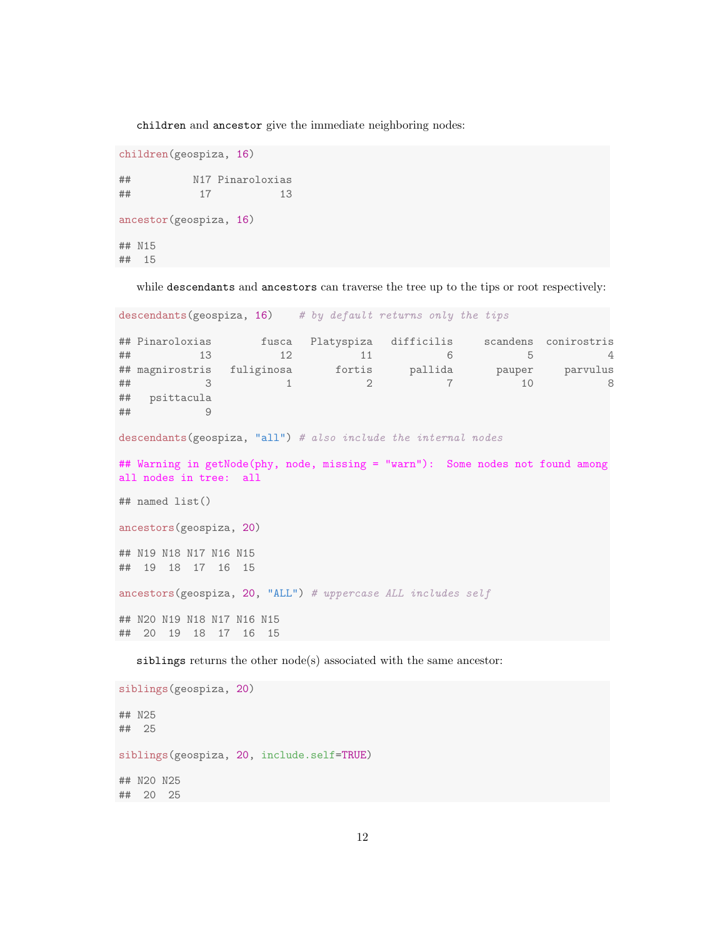children and ancestor give the immediate neighboring nodes:

```
children(geospiza, 16)
## N17 Pinaroloxias
## 17 13
ancestor(geospiza, 16)
## N15
## 15
```
while descendants and ancestors can traverse the tree up to the tips or root respectively:

```
descendants(geospiza, 16) # by default returns only the tips
```

```
## Pinaroloxias fusca Platyspiza difficilis scandens conirostris
## 13 12 11 6 5<br>## magnirostris fuliginosa fortis pallida pauper parvulus
## magnirostris fuliginosa fortis pallida pauper parvulus
          3 1 2 7 10 8
## psittacula
## 9
descendants(geospiza, "all") # also include the internal nodes
## Warning in getNode(phy, node, missing = "warn"): Some nodes not found among
all nodes in tree: all
## named list()
ancestors(geospiza, 20)
## N19 N18 N17 N16 N15
## 19 18 17 16 15
ancestors(geospiza, 20, "ALL") # uppercase ALL includes self
## N20 N19 N18 N17 N16 N15
## 20 19 18 17 16 15
```
siblings returns the other node(s) associated with the same ancestor:

siblings(geospiza, 20) ## N25 ## 25 siblings(geospiza, 20, include.self=TRUE) ## N20 N25 ## 20 25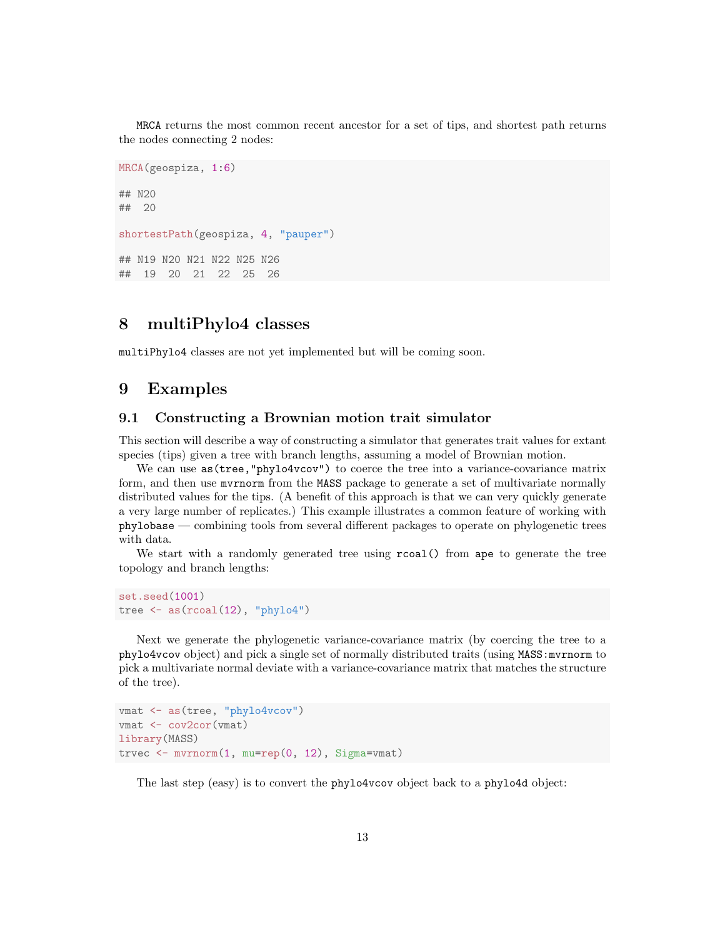MRCA returns the most common recent ancestor for a set of tips, and shortest path returns the nodes connecting 2 nodes:

```
MRCA(geospiza, 1:6)
## N20
## 20
shortestPath(geospiza, 4, "pauper")
## N19 N20 N21 N22 N25 N26
## 19 20 21 22 25 26
```
# 8 multiPhylo4 classes

multiPhylo4 classes are not yet implemented but will be coming soon.

### 9 Examples

#### 9.1 Constructing a Brownian motion trait simulator

This section will describe a way of constructing a simulator that generates trait values for extant species (tips) given a tree with branch lengths, assuming a model of Brownian motion.

We can use as(tree,"phylo4vcov") to coerce the tree into a variance-covariance matrix form, and then use mvrnorm from the MASS package to generate a set of multivariate normally distributed values for the tips. (A benefit of this approach is that we can very quickly generate a very large number of replicates.) This example illustrates a common feature of working with phylobase — combining tools from several different packages to operate on phylogenetic trees with data.

We start with a randomly generated tree using  $r\text{coal}()$  from ape to generate the tree topology and branch lengths:

```
set.seed(1001)
tree \leq as (recall(12), "phylo4")
```
Next we generate the phylogenetic variance-covariance matrix (by coercing the tree to a phylo4vcov object) and pick a single set of normally distributed traits (using MASS:mvrnorm to pick a multivariate normal deviate with a variance-covariance matrix that matches the structure of the tree).

```
vmat <- as(tree, "phylo4vcov")
vmat <- cov2cor(vmat)
library(MASS)
trvec <- mvrnorm(1, mu=rep(0, 12), Sigma=vmat)
```
The last step (easy) is to convert the phylo4vcov object back to a phylo4d object: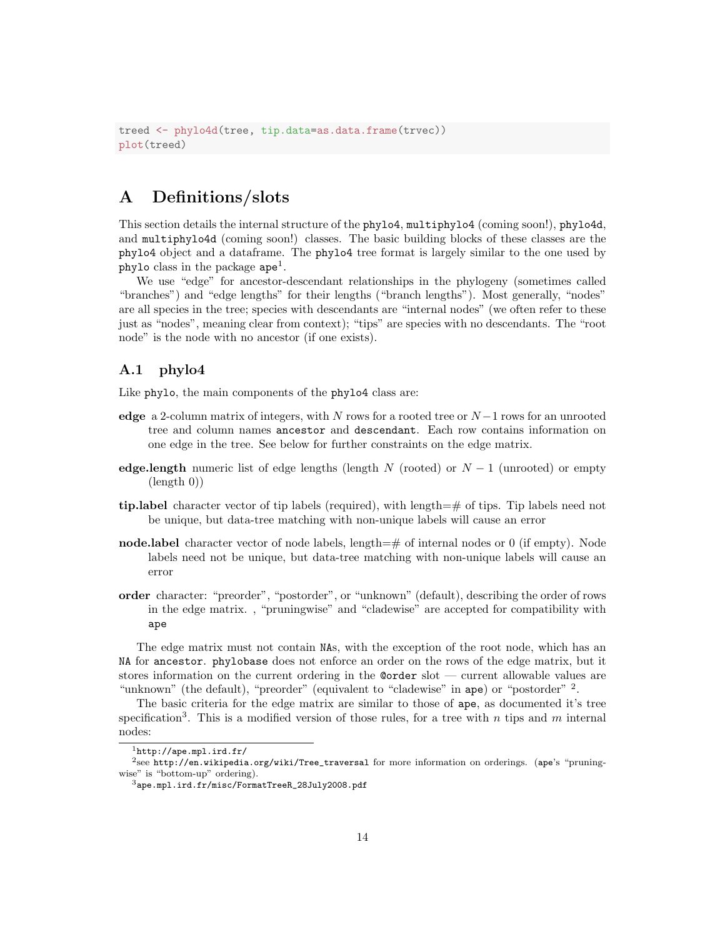```
treed <- phylo4d(tree, tip.data=as.data.frame(trvec))
plot(treed)
```
# A Definitions/slots

This section details the internal structure of the phylo4, multiphylo4 (coming soon!), phylo4d, and multiphylo4d (coming soon!) classes. The basic building blocks of these classes are the phylo4 object and a dataframe. The phylo4 tree format is largely similar to the one used by  $phylo$  class in the package  $ape<sup>1</sup>$ .

We use "edge" for ancestor-descendant relationships in the phylogeny (sometimes called "branches") and "edge lengths" for their lengths ("branch lengths"). Most generally, "nodes" are all species in the tree; species with descendants are "internal nodes" (we often refer to these just as "nodes", meaning clear from context); "tips" are species with no descendants. The "root node" is the node with no ancestor (if one exists).

#### A.1 phylo4

Like phylo, the main components of the phylo4 class are:

- edge a 2-column matrix of integers, with N rows for a rooted tree or  $N-1$  rows for an unrooted tree and column names ancestor and descendant. Each row contains information on one edge in the tree. See below for further constraints on the edge matrix.
- edge.length numeric list of edge lengths (length N (rooted) or  $N-1$  (unrooted) or empty (length 0))
- tip.label character vector of tip labels (required), with length=# of tips. Tip labels need not be unique, but data-tree matching with non-unique labels will cause an error
- node.label character vector of node labels, length=# of internal nodes or 0 (if empty). Node labels need not be unique, but data-tree matching with non-unique labels will cause an error
- order character: "preorder", "postorder", or "unknown" (default), describing the order of rows in the edge matrix. , "pruningwise" and "cladewise" are accepted for compatibility with ape

The edge matrix must not contain NAs, with the exception of the root node, which has an NA for ancestor. phylobase does not enforce an order on the rows of the edge matrix, but it stores information on the current ordering in the @order slot — current allowable values are "unknown" (the default), "preorder" (equivalent to "cladewise" in ape) or "postorder" <sup>2</sup>.

The basic criteria for the edge matrix are similar to those of ape, as documented it's tree specification<sup>3</sup>. This is a modified version of those rules, for a tree with n tips and m internal nodes:

 ${}^{1}$ http://ape.mpl.ird.fr/

<sup>2</sup> see http://en.wikipedia.org/wiki/Tree\_traversal for more information on orderings. (ape's "pruningwise" is "bottom-up" ordering).

<sup>3</sup>ape.mpl.ird.fr/misc/FormatTreeR\_28July2008.pdf